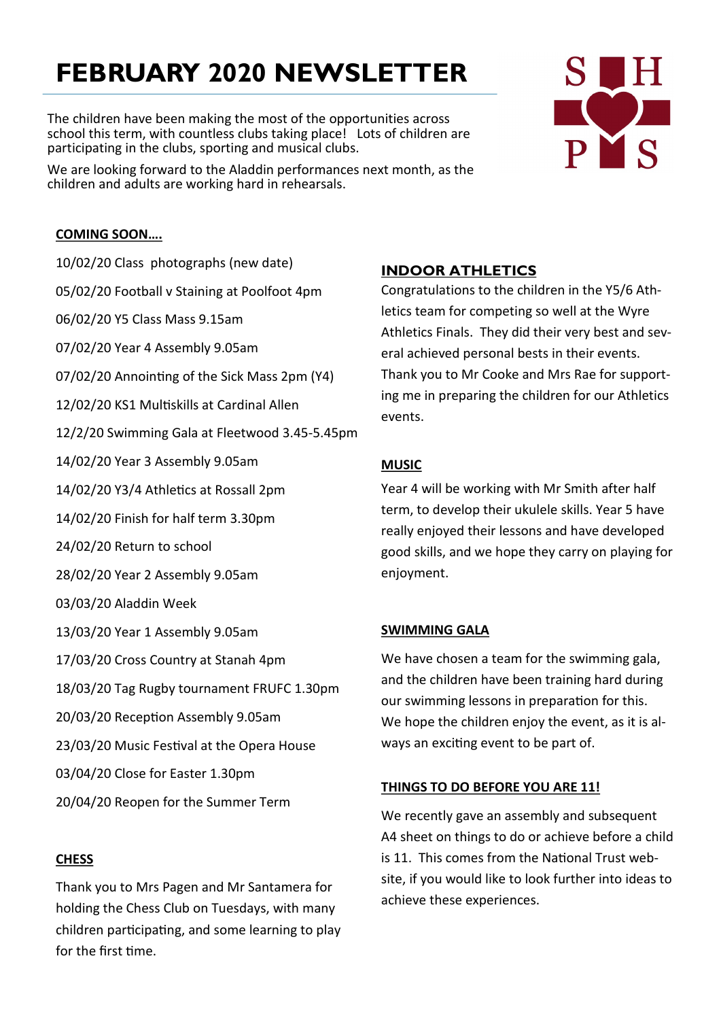# **FEBRUARY 2020 NEWSLETTER**

The children have been making the most of the opportunities across school this term, with countless clubs taking place! Lots of children are participating in the clubs, sporting and musical clubs.

We are looking forward to the Aladdin performances next month, as the children and adults are working hard in rehearsals.

# **COMING SOON….**

10/02/20 Class photographs (new date) 05/02/20 Football v Staining at Poolfoot 4pm 06/02/20 Y5 Class Mass 9.15am 07/02/20 Year 4 Assembly 9.05am 07/02/20 Annointing of the Sick Mass 2pm (Y4) 12/02/20 KS1 Multiskills at Cardinal Allen 12/2/20 Swimming Gala at Fleetwood 3.45-5.45pm 14/02/20 Year 3 Assembly 9.05am 14/02/20 Y3/4 Athletics at Rossall 2pm 14/02/20 Finish for half term 3.30pm 24/02/20 Return to school 28/02/20 Year 2 Assembly 9.05am 03/03/20 Aladdin Week 13/03/20 Year 1 Assembly 9.05am 17/03/20 Cross Country at Stanah 4pm 18/03/20 Tag Rugby tournament FRUFC 1.30pm 20/03/20 Reception Assembly 9.05am 23/03/20 Music Festival at the Opera House 03/04/20 Close for Easter 1.30pm 20/04/20 Reopen for the Summer Term

### **CHESS**

Thank you to Mrs Pagen and Mr Santamera for holding the Chess Club on Tuesdays, with many children participating, and some learning to play for the first time.

## **INDOOR ATHLETICS**

Congratulations to the children in the Y5/6 Athletics team for competing so well at the Wyre Athletics Finals. They did their very best and several achieved personal bests in their events. Thank you to Mr Cooke and Mrs Rae for supporting me in preparing the children for our Athletics events.

## **MUSIC**

Year 4 will be working with Mr Smith after half term, to develop their ukulele skills. Year 5 have really enjoyed their lessons and have developed good skills, and we hope they carry on playing for enjoyment.

### **SWIMMING GALA**

We have chosen a team for the swimming gala, and the children have been training hard during our swimming lessons in preparation for this. We hope the children enjoy the event, as it is always an exciting event to be part of.

### **THINGS TO DO BEFORE YOU ARE 11!**

We recently gave an assembly and subsequent A4 sheet on things to do or achieve before a child is 11. This comes from the National Trust website, if you would like to look further into ideas to achieve these experiences.

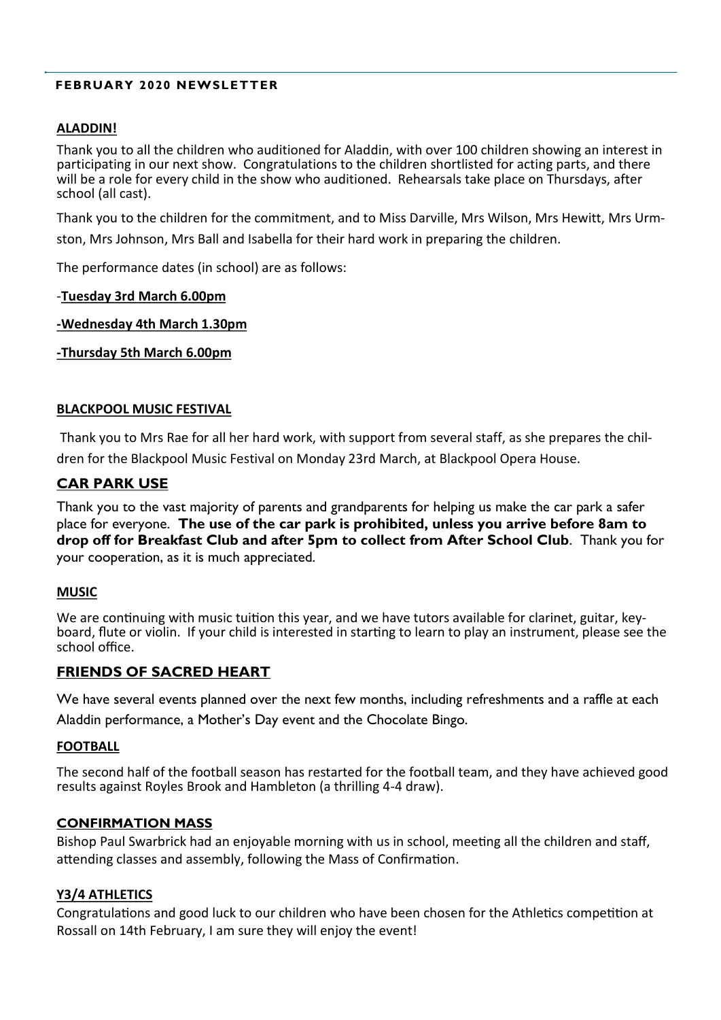### **FEBRUARY 2020 NEWSLETTER**

### **ALADDIN!**

Thank you to all the children who auditioned for Aladdin, with over 100 children showing an interest in participating in our next show. Congratulations to the children shortlisted for acting parts, and there will be a role for every child in the show who auditioned. Rehearsals take place on Thursdays, after school (all cast).

Thank you to the children for the commitment, and to Miss Darville, Mrs Wilson, Mrs Hewitt, Mrs Urmston, Mrs Johnson, Mrs Ball and Isabella for their hard work in preparing the children.

The performance dates (in school) are as follows:

### -**Tuesday 3rd March 6.00pm**

### **-Wednesday 4th March 1.30pm**

**-Thursday 5th March 6.00pm**

### **BLACKPOOL MUSIC FESTIVAL**

Thank you to Mrs Rae for all her hard work, with support from several staff, as she prepares the children for the Blackpool Music Festival on Monday 23rd March, at Blackpool Opera House.

### **CAR PARK USE**

Thank you to the vast majority of parents and grandparents for helping us make the car park a safer place for everyone. **The use of the car park is prohibited, unless you arrive before 8am to drop off for Breakfast Club and after 5pm to collect from After School Club**. Thank you for your cooperation, as it is much appreciated.

### **MUSIC**

We are continuing with music tuition this year, and we have tutors available for clarinet, guitar, keyboard, flute or violin. If your child is interested in starting to learn to play an instrument, please see the school office.

### **FRIENDS OF SACRED HEART**

We have several events planned over the next few months, including refreshments and a raffle at each

Aladdin performance, a Mother's Day event and the Chocolate Bingo.

### **FOOTBALL**

The second half of the football season has restarted for the football team, and they have achieved good results against Royles Brook and Hambleton (a thrilling 4-4 draw).

### **CONFIRMATION MASS**

Bishop Paul Swarbrick had an enjoyable morning with us in school, meeting all the children and staff, attending classes and assembly, following the Mass of Confirmation.

### **Y3/4 ATHLETICS**

Congratulations and good luck to our children who have been chosen for the Athletics competition at Rossall on 14th February, I am sure they will enjoy the event!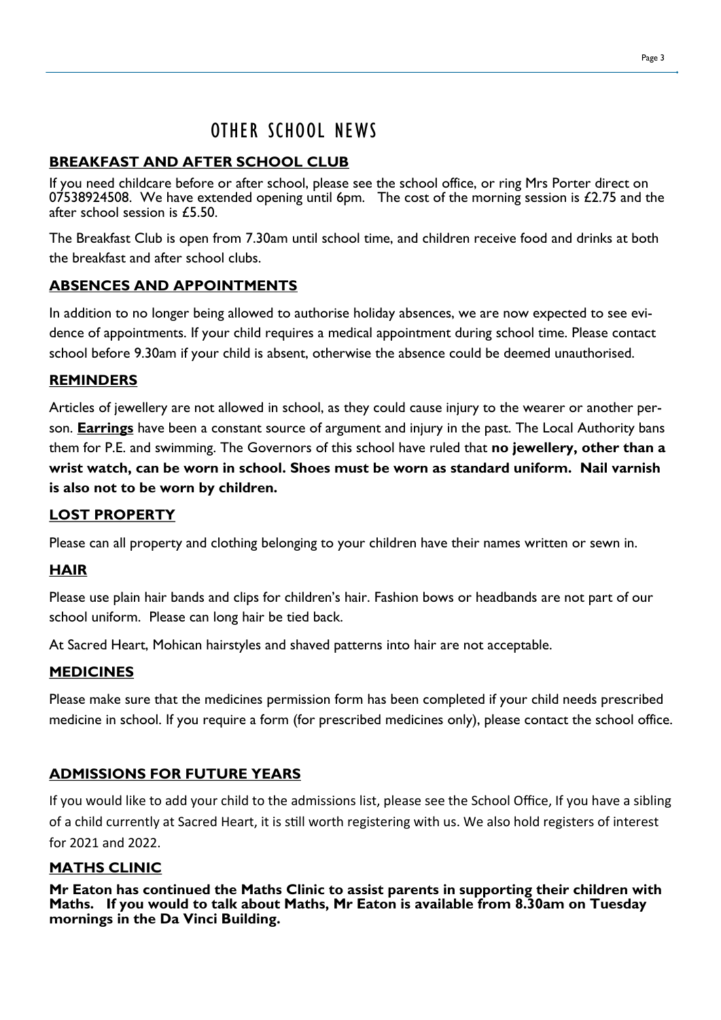# OTHER SCHOOL NEWS

# **BREAKFAST AND AFTER SCHOOL CLUB**

If you need childcare before or after school, please see the school office, or ring Mrs Porter direct on 07538924508. We have extended opening until 6pm. The cost of the morning session is  $£2.75$  and the after school session is £5.50.

The Breakfast Club is open from 7.30am until school time, and children receive food and drinks at both the breakfast and after school clubs.

# **ABSENCES AND APPOINTMENTS**

In addition to no longer being allowed to authorise holiday absences, we are now expected to see evidence of appointments. If your child requires a medical appointment during school time. Please contact school before 9.30am if your child is absent, otherwise the absence could be deemed unauthorised.

# **REMINDERS**

Articles of jewellery are not allowed in school, as they could cause injury to the wearer or another person. **Earrings** have been a constant source of argument and injury in the past. The Local Authority bans them for P.E. and swimming. The Governors of this school have ruled that **no jewellery, other than a wrist watch, can be worn in school. Shoes must be worn as standard uniform. Nail varnish is also not to be worn by children.**

# **LOST PROPERTY**

Please can all property and clothing belonging to your children have their names written or sewn in.

# **HAIR**

Please use plain hair bands and clips for children's hair. Fashion bows or headbands are not part of our school uniform. Please can long hair be tied back.

At Sacred Heart, Mohican hairstyles and shaved patterns into hair are not acceptable.

# **MEDICINES**

Please make sure that the medicines permission form has been completed if your child needs prescribed medicine in school. If you require a form (for prescribed medicines only), please contact the school office.

# **ADMISSIONS FOR FUTURE YEARS**

If you would like to add your child to the admissions list, please see the School Office, If you have a sibling of a child currently at Sacred Heart, it is still worth registering with us. We also hold registers of interest for 2021 and 2022.

# **MATHS CLINIC**

**Mr Eaton has continued the Maths Clinic to assist parents in supporting their children with Maths. If you would to talk about Maths, Mr Eaton is available from 8.30am on Tuesday mornings in the Da Vinci Building.**